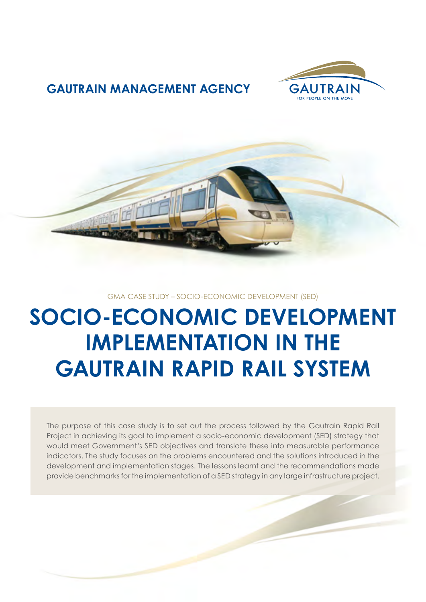

# **GAUTRAIN MANAGEMENT AGENCY**



## GMA CASE STUDY – SOCIO-ECONOMIC DEVELOPMENT (SED)

# **SOCIO-ECONOMIC DEVELOPMENT IMPLEMENTATION IN THE GAUTRAIN RAPID RAIL SYSTEM**

The purpose of this case study is to set out the process followed by the Gautrain Rapid Rail Project in achieving its goal to implement a socio-economic development (SED) strategy that would meet Government's SED objectives and translate these into measurable performance indicators. The study focuses on the problems encountered and the solutions introduced in the development and implementation stages. The lessons learnt and the recommendations made provide benchmarks for the implementation of a SED strategy in any large infrastructure project.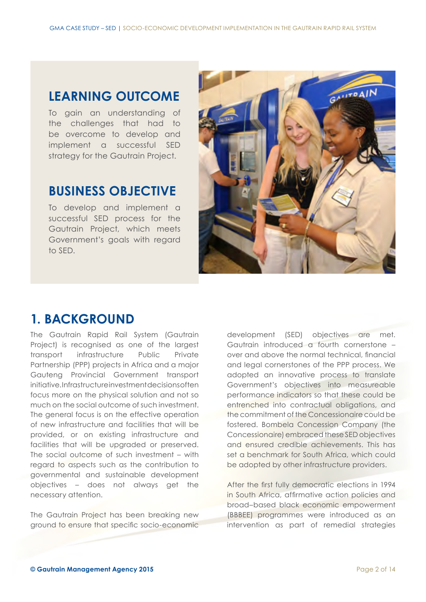# **LEARNING OUTCOME**

To gain an understanding of the challenges that had to be overcome to develop and implement a successful SED strategy for the Gautrain Project.

# **BUSINESS OBJECTIVE**

To develop and implement a successful SED process for the Gautrain Project, which meets Government's goals with regard to SED.



# **1. BACKGROUND**

The Gautrain Rapid Rail System (Gautrain Project) is recognised as one of the largest transport infrastructure Public Private Partnership (PPP) projects in Africa and a major Gauteng Provincial Government transport initiative. Infrastructure investment decisions often focus more on the physical solution and not so much on the social outcome of such investment. The general focus is on the effective operation of new infrastructure and facilities that will be provided, or on existing infrastructure and facilities that will be upgraded or preserved. The social outcome of such investment – with regard to aspects such as the contribution to governmental and sustainable development objectives – does not always get the necessary attention.

The Gautrain Project has been breaking new ground to ensure that specific socio-economic development (SED) objectives are met. Gautrain introduced a fourth cornerstone – over and above the normal technical, financial and legal cornerstones of the PPP process. We adopted an innovative process to translate Government's objectives into measureable performance indicators so that these could be entrenched into contractual obligations, and the commitment of the Concessionaire could be fostered. Bombela Concession Company (the Concessionaire) embraced these SED objectives and ensured credible achievements. This has set a benchmark for South Africa, which could be adopted by other infrastructure providers.

After the first fully democratic elections in 1994 in South Africa, affirmative action policies and broad–based black economic empowerment (BBBEE) programmes were introduced as an intervention as part of remedial strategies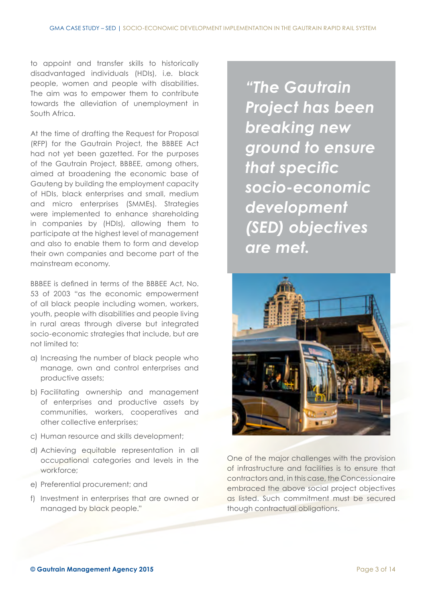to appoint and transfer skills to historically disadvantaged individuals (HDIs), i.e. black people, women and people with disabilities. The aim was to empower them to contribute towards the alleviation of unemployment in South Africa.

At the time of drafting the Request for Proposal (RFP) for the Gautrain Project, the BBBEE Act had not yet been gazetted. For the purposes of the Gautrain Project, BBBEE, among others, aimed at broadening the economic base of Gauteng by building the employment capacity of HDIs, black enterprises and small, medium and micro enterprises (SMMEs). Strategies were implemented to enhance shareholding in companies by (HDIs), allowing them to participate at the highest level of management and also to enable them to form and develop their own companies and become part of the mainstream economy.

BBBEE is defined in terms of the BBBEE Act, No. 53 of 2003 "as the economic empowerment of all black people including women, workers, youth, people with disabilities and people living in rural areas through diverse but integrated socio-economic strategies that include, but are not limited to:

- a) Increasing the number of black people who manage, own and control enterprises and productive assets;
- b) Facilitating ownership and management of enterprises and productive assets by communities, workers, cooperatives and other collective enterprises;
- c) Human resource and skills development;
- d) Achieving equitable representation in all occupational categories and levels in the workforce;
- e) Preferential procurement; and
- f) Investment in enterprises that are owned or managed by black people."

*"The Gautrain Project has been breaking new ground to ensure that specific socio-economic development (SED) objectives are met.*



One of the major challenges with the provision of infrastructure and facilities is to ensure that contractors and, in this case, the Concessionaire embraced the above social project objectives as listed. Such commitment must be secured though contractual obligations.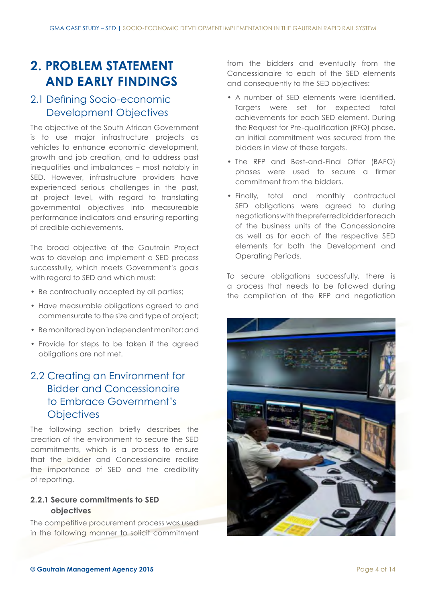# **2. PROBLEM STATEMENT AND EARLY FINDINGS**

# 2.1 Defining Socio-economic Development Objectives

The objective of the South African Government is to use major infrastructure projects as vehicles to enhance economic development, growth and job creation, and to address past inequalities and imbalances – most notably in SED. However, infrastructure providers have experienced serious challenges in the past, at project level, with regard to translating governmental objectives into measureable performance indicators and ensuring reporting of credible achievements.

The broad objective of the Gautrain Project was to develop and implement a SED process successfully, which meets Government's goals with regard to SED and which must:

- Be contractually accepted by all parties;
- Have measurable obligations agreed to and commensurate to the size and type of project;
- Be monitored by an independent monitor;and
- Provide for steps to be taken if the agreed obligations are not met.

# 2.2 Creating an Environment for Bidder and Concessionaire to Embrace Government's **Objectives**

The following section briefly describes the creation of the environment to secure the SED commitments, which is a process to ensure that the bidder and Concessionaire realise the importance of SED and the credibility of reporting.

## **2.2.1 Secure commitments to SED objectives**

The competitive procurement process was used in the following manner to solicit commitment from the bidders and eventually from the Concessionaire to each of the SED elements and consequently to the SED objectives:

- A number of SED elements were identified. Targets were set for expected total achievements for each SED element. During the Request for Pre-qualification (RFQ) phase, an initial commitment was secured from the bidders in view of these targets.
- The RFP and Best-and-Final Offer (BAFO) phases were used to secure a firmer commitment from the bidders.
- Finally, total and monthly contractual SED obligations were agreed to during negotiations with the preferred bidder for each of the business units of the Concessionaire as well as for each of the respective SED elements for both the Development and Operating Periods.

To secure obligations successfully, there is a process that needs to be followed during the compilation of the RFP and negotiation

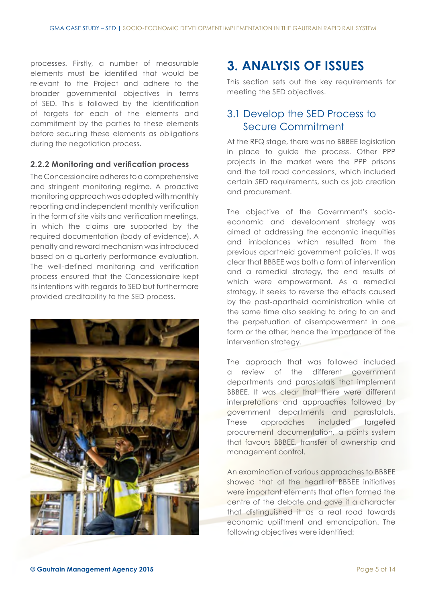processes. Firstly, a number of measurable elements must be identified that would be relevant to the Project and adhere to the broader governmental objectives in terms of SED. This is followed by the identification of targets for each of the elements and commitment by the parties to these elements before securing these elements as obligations during the negotiation process.

#### **2.2.2 Monitoring and verification process**

The Concessionaire adheres to a comprehensive and stringent monitoring regime. A proactive monitoring approach was adopted with monthly reporting and independent monthly verification in the form of site visits and verification meetings, in which the claims are supported by the required documentation (body of evidence). A penalty and reward mechanism was introduced based on a quarterly performance evaluation. The well-defined monitoring and verification process ensured that the Concessionaire kept its intentions with regards to SED but furthermore provided creditability to the SED process.



# **3. ANALYSIS OF ISSUES**

This section sets out the key requirements for meeting the SED objectives.

# 3.1 Develop the SED Process to Secure Commitment

At the RFQ stage, there was no BBBEE legislation in place to guide the process. Other PPP projects in the market were the PPP prisons and the toll road concessions, which included certain SED requirements, such as job creation and procurement.

The objective of the Government's socioeconomic and development strategy was aimed at addressing the economic inequities and imbalances which resulted from the previous apartheid government policies. It was clear that BBBEE was both a form of intervention and a remedial strategy, the end results of which were empowerment. As a remedial strategy, it seeks to reverse the effects caused by the past-apartheid administration while at the same time also seeking to bring to an end the perpetuation of disempowerment in one form or the other, hence the importance of the intervention strategy.

The approach that was followed included a review of the different government departments and parastatals that implement BBBEE. It was clear that there were different interpretations and approaches followed by government departments and parastatals. These approaches included targeted procurement documentation, a points system that favours BBBEE, transfer of ownership and management control.

An examination of various approaches to BBBEE showed that at the heart of BBBEE initiatives were important elements that often formed the centre of the debate and gave it a character that distinguished it as a real road towards economic upliftment and emancipation. The following objectives were identified: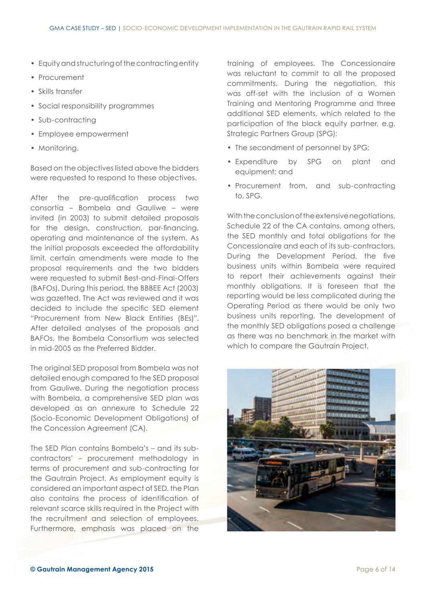- Equity and structuring of the contractingentity
- Procurement
- Skills transfer
- Social responsibility programmes
- Sub-contracting
- Employee empowerment
- Monitoring.

Based on the objectives listed above the bidders were requested to respond to these objectives.

After the pre-qualification process two consortia – Bombela and Gauliwe – were invited (in 2003) to submit detailed proposals for the design, construction, par-financing, operating and maintenance of the system. As the initial proposals exceeded the affordability limit, certain amendments were made to the proposal requirements and the two bidders were requested to submit Best-and-Final-Offers (BAFOs). During this period, the BBBEE Act (2003) was gazetted. The Act was reviewed and it was decided to include the specific SED element "Procurement from New Black Entities (BEs)". After detailed analyses of the proposals and BAFOs, the Bombela Consortium was selected in mid-2005 as the Preferred Bidder.

The original SED proposal from Bombela was not detailed enough compared to the SED proposal from Gauliwe. During the negotiation process with Bombela, a comprehensive SED plan was developed as an annexure to Schedule 22 (Socio-Economic Development Obligations) of the Concession Agreement (CA).

The SED Plan contains Bombela's – and its subcontractors' – procurement methodology in terms of procurement and sub-contracting for the Gautrain Project. As employment equity is considered an important aspect of SED, the Plan also contains the process of identification of relevant scarce skills required in the Project with the recruitment and selection of employees. Furthermore, emphasis was placed on the training of employees. The Concessionaire was reluctant to commit to all the proposed commitments. During the negotiation, this was off-set with the inclusion of a Women Training and Mentoring Programme and three additional SED elements, which related to the participation of the black equity partner, e.g. Strategic Partners Group (SPG):

- The secondment of personnel by SPG:
- Expenditure by SPG on plant and equipment; and
- Procurement from, and sub-contracting to, SPG.

With the conclusion of the extensive negotiations, Schedule 22 of the CA contains, among others, the SED monthly and total obligations for the Concessionaire and each of its sub-contractors. During the Development Period, the five business units within Bombela were required to report their achievements against their monthly obligations. It is foreseen that the reporting would be less complicated during the Operating Period as there would be only two business units reporting. The development of the monthly SED obligations posed a challenge as there was no benchmark in the market with which to compare the Gautrain Project.

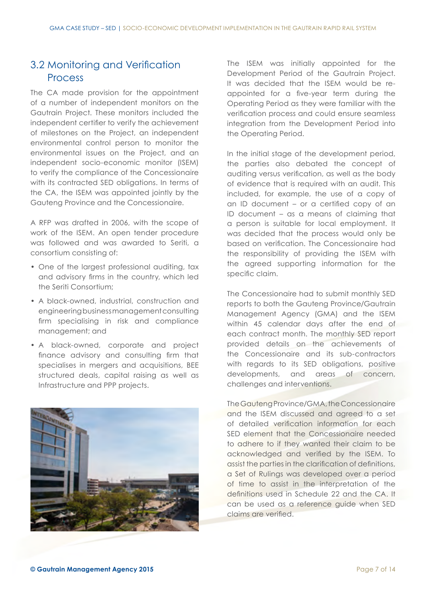# 3.2 Monitoring and Verification Process

The CA made provision for the appointment of a number of independent monitors on the Gautrain Project. These monitors included the independent certifier to verify the achievement of milestones on the Project, an independent environmental control person to monitor the environmental issues on the Project, and an independent socio-economic monitor (ISEM) to verify the compliance of the Concessionaire with its contracted SED obligations. In terms of the CA, the ISEM was appointed jointly by the Gauteng Province and the Concessionaire.

A RFP was drafted in 2006, with the scope of work of the ISEM. An open tender procedure was followed and was awarded to Seriti, a consortium consisting of:

- One of the largest professional auditing, tax and advisory firms in the country, which led the Seriti Consortium;
- A black-owned, industrial, construction and engineeringbusiness management consulting firm specialising in risk and compliance management; and
- A black-owned, corporate and project finance advisory and consulting firm that specialises in mergers and acquisitions, BEE structured deals, capital raising as well as Infrastructure and PPP projects.



The ISEM was initially appointed for the Development Period of the Gautrain Project. It was decided that the ISEM would be reappointed for a five-year term during the Operating Period as they were familiar with the verification process and could ensure seamless integration from the Development Period into the Operating Period.

In the initial stage of the development period, the parties also debated the concept of auditing versus verification, as well as the body of evidence that is required with an audit. This included, for example, the use of a copy of an ID document – or a certified copy of an ID document – as a means of claiming that a person is suitable for local employment. It was decided that the process would only be based on verification. The Concessionaire had the responsibility of providing the ISEM with the agreed supporting information for the specific claim.

The Concessionaire had to submit monthly SED reports to both the Gauteng Province/Gautrain Management Agency (GMA) and the ISEM within 45 calendar days after the end of each contract month. The monthly SED report provided details on the achievements of the Concessionaire and its sub-contractors with regards to its SED obligations, positive developments, and areas of concern, challenges and interventions.

The Gauteng Province/GMA, the Concessionaire and the ISEM discussed and agreed to a set of detailed verification information for each SED element that the Concessionaire needed to adhere to if they wanted their claim to be acknowledged and verified by the ISEM. To assist the parties in the clarification of definitions, a Set of Rulings was developed over a period of time to assist in the interpretation of the definitions used in Schedule 22 and the CA. It can be used as a reference guide when SED claims are verified.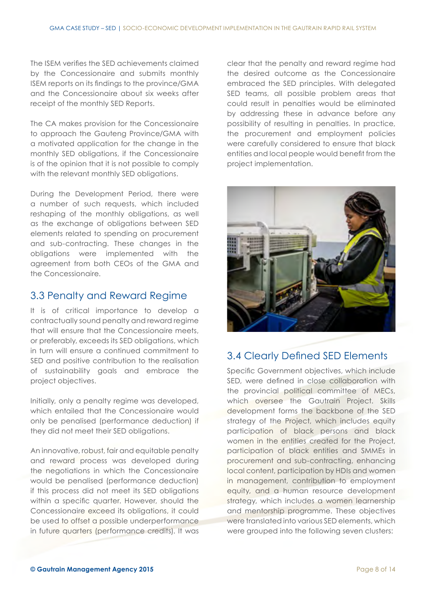The ISEM verifies the SED achievements claimed by the Concessionaire and submits monthly ISEM reports on its findings to the province/GMA and the Concessionaire about six weeks after receipt of the monthly SED Reports.

The CA makes provision for the Concessionaire to approach the Gauteng Province/GMA with a motivated application for the change in the monthly SED obligations, if the Concessionaire is of the opinion that it is not possible to comply with the relevant monthly SED obligations.

During the Development Period, there were a number of such requests, which included reshaping of the monthly obligations, as well as the exchange of obligations between SED elements related to spending on procurement and sub-contracting. These changes in the obligations were implemented with the agreement from both CEOs of the GMA and the Concessionaire.

## 3.3 Penalty and Reward Regime

It is of critical importance to develop a contractually sound penalty and reward regime that will ensure that the Concessionaire meets, or preferably, exceeds its SED obligations, which in turn will ensure a continued commitment to SED and positive contribution to the realisation of sustainability goals and embrace the project objectives.

Initially, only a penalty regime was developed, which entailed that the Concessionaire would only be penalised (performance deduction) if they did not meet their SED obligations.

An innovative, robust, fair and equitable penalty and reward process was developed during the negotiations in which the Concessionaire would be penalised (performance deduction) if this process did not meet its SED obligations within a specific quarter. However, should the Concessionaire exceed its obligations, it could be used to offset a possible underperformance in future quarters (performance credits). It was

clear that the penalty and reward regime had the desired outcome as the Concessionaire embraced the SED principles. With delegated SED teams, all possible problem areas that could result in penalties would be eliminated by addressing these in advance before any possibility of resulting in penalties. In practice, the procurement and employment policies were carefully considered to ensure that black entities and local people would benefit from the project implementation.



## 3.4 Clearly Defined SED Elements

Specific Government objectives, which include SED, were defined in close collaboration with the provincial political committee of MECs, which oversee the Gautrain Project. Skills development forms the backbone of the SED strategy of the Project, which includes equity participation of black persons and black women in the entities created for the Project, participation of black entities and SMMEs in procurement and sub-contracting, enhancing local content, participation by HDIs and women in management, contribution to employment equity, and a human resource development strategy, which includes a women learnership and mentorship programme. These objectives were translated into various SED elements, which were grouped into the following seven clusters: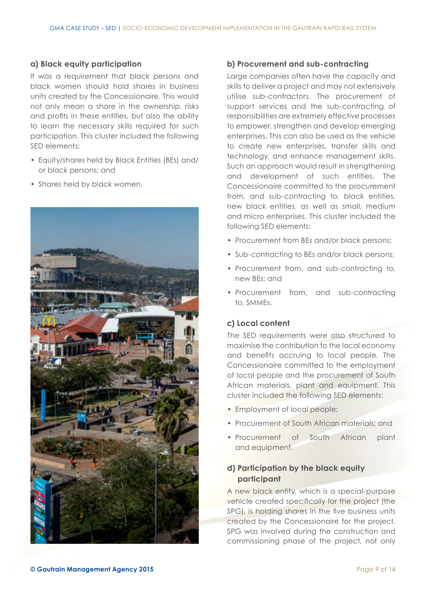## **a) Black equity participation**

It was a requirement that black persons and black women should hold shares in business units created by the Concessionaire. This would not only mean a share in the ownership, risks and profits in these entities, but also the ability to learn the necessary skills required for such participation. This cluster included the following SED elements:

- Equity/shares held by Black Entities (BEs) and/ or black persons; and
- Shares held by black women.



## **b) Procurement and sub-contracting**

Large companies often have the capacity and skills to deliver a project and may not extensively utilise sub-contractors. The procurement of support services and the sub-contracting of responsibilities are extremely effective processes to empower, strengthen and develop emerging enterprises. This can also be used as the vehicle to create new enterprises, transfer skills and technology, and enhance management skills. Such an approach would result in strengthening and development of such entities. The Concessionaire committed to the procurement from, and sub-contracting to, black entities, new black entities, as well as small, medium and micro enterprises. This cluster included the following SED elements:

- Procurement from BEs and/or black persons;
- Sub-contracting to BEs and/or black persons;
- Procurement from, and sub-contracting to, new BEs; and
- Procurement from, and sub-contracting to, SMMEs.

## **c) Local content**

The SED requirements were also structured to maximise the contribution to the local economy and benefits accruing to local people. The Concessionaire committed to the employment of local people and the procurement of South African materials, plant and equipment. This cluster included the following SED elements:

- Employment of local people;
- Procurement of South African materials; and
- Procurement of South African plant and equipment.

## **d) Participation by the black equity participant**

A new black entity, which is a special-purpose vehicle created specifically for the project (the SPG), is holding shares in the five business units created by the Concessionaire for the project. SPG was involved during the construction and commissioning phase of the project, not only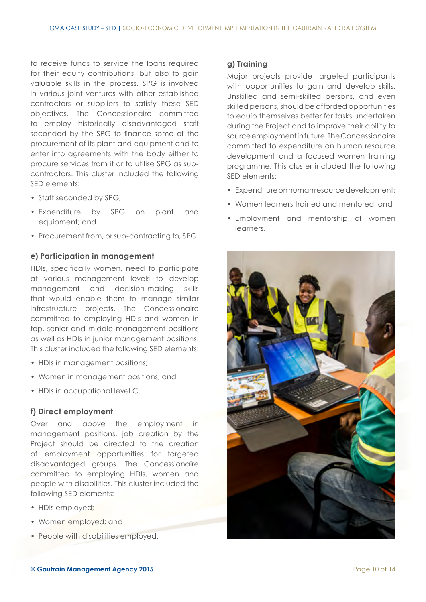to receive funds to service the loans required for their equity contributions, but also to gain valuable skills in the process. SPG is involved in various joint ventures with other established contractors or suppliers to satisfy these SED objectives. The Concessionaire committed to employ historically disadvantaged staff seconded by the SPG to finance some of the procurement of its plant and equipment and to enter into agreements with the body either to procure services from it or to utilise SPG as subcontractors. This cluster included the following SED elements:

- Staff seconded by SPG;
- Expenditure by SPG on plant and equipment; and
- Procurement from, or sub-contracting to, SPG.

#### **e) Participation in management**

HDIs, specifically women, need to participate at various management levels to develop management and decision-making skills that would enable them to manage similar infrastructure projects. The Concessionaire committed to employing HDIs and women in top, senior and middle management positions as well as HDIs in junior management positions. This cluster included the following SED elements:

- HDIs in management positions;
- Women in management positions; and
- HDIs in occupational level C.

#### **f) Direct employment**

Over and above the employment in management positions, job creation by the Project should be directed to the creation of employment opportunities for targeted disadvantaged groups. The Concessionaire committed to employing HDIs, women and people with disabilities. This cluster included the following SED elements:

- HDIs employed:
- Women employed; and
- People with disabilities employed.

#### **g) Training**

Major projects provide targeted participants with opportunities to gain and develop skills. Unskilled and semi-skilled persons, and even skilled persons, should be afforded opportunities to equip themselves better for tasks undertaken during the Project and to improve their ability to source employment in future. The Concessionaire committed to expenditure on human resource development and a focused women training programme. This cluster included the following SED elements:

- Expenditure on human resource development;
- Women learners trained and mentored; and
- Employment and mentorship of women learners.

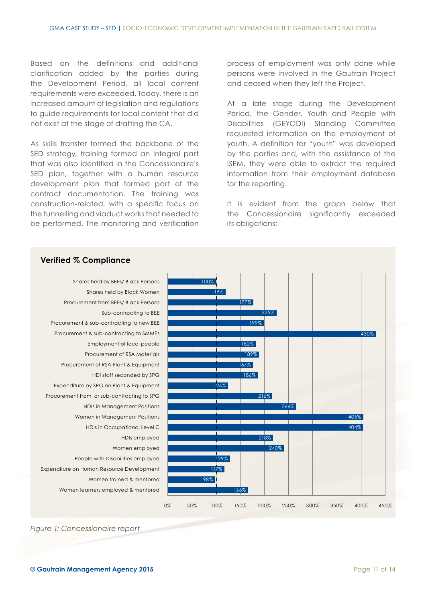Based on the definitions and additional clarification added by the parties during the Development Period, all local content requirements were exceeded. Today, there is an increased amount of legislation and regulations to guide requirements for local content that did not exist at the stage of drafting the CA.

As skills transfer formed the backbone of the SED strategy, training formed an integral part that was also identified in the Concessionaire's SED plan, together with a human resource development plan that formed part of the contract documentation. The training was construction-related, with a specific focus on the tunnelling and viaduct works that needed to be performed. The monitoring and verification process of employment was only done while persons were involved in the Gautrain Project and ceased when they left the Project.

At a late stage during the Development Period, the Gender, Youth and People with Disabilities (GEYODI) Standing Committee requested information on the employment of youth. A definition for "youth" was developed by the parties and, with the assistance of the ISEM, they were able to extract the required information from their employment database for the reporting.

It is evident from the graph below that the Concessionaire significantly exceeded its obligations:



#### *Figure 1: Concessionaire report*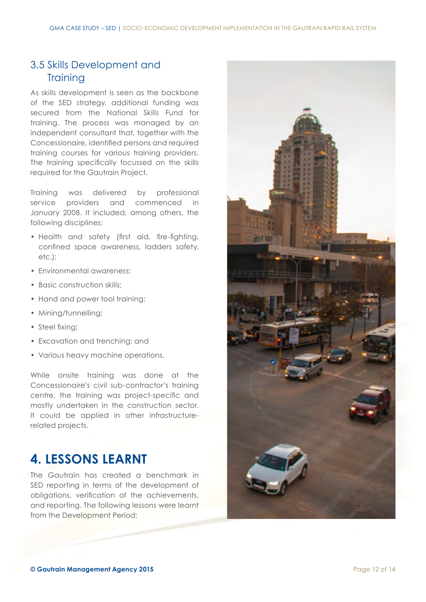# 3.5 Skills Development and **Training**

As skills development is seen as the backbone of the SED strategy, additional funding was secured from the National Skills Fund for training. The process was managed by an independent consultant that, together with the Concessionaire, identified persons and required training courses for various training providers. The training specifically focussed on the skills required for the Gautrain Project.

Training was delivered by professional service providers and commenced in January 2008. It included, among others, the following disciplines:

- Health and safety (first aid, fire-fighting, confined space awareness, ladders safety, etc.);
- Environmental awareness;
- Basic construction skills;
- Hand and power tool training;
- Mining/tunnelling;
- Steel fixing;
- Excavation and trenching; and
- Various heavy machine operations.

While onsite training was done at the Concessionaire's civil sub-contractor's training centre, the training was project-specific and mostly undertaken in the construction sector. It could be applied in other infrastructurerelated projects.

# **4. LESSONS LEARNT**

The Gautrain has created a benchmark in SED reporting in terms of the development of obligations, verification of the achievements, and reporting. The following lessons were learnt from the Development Period:

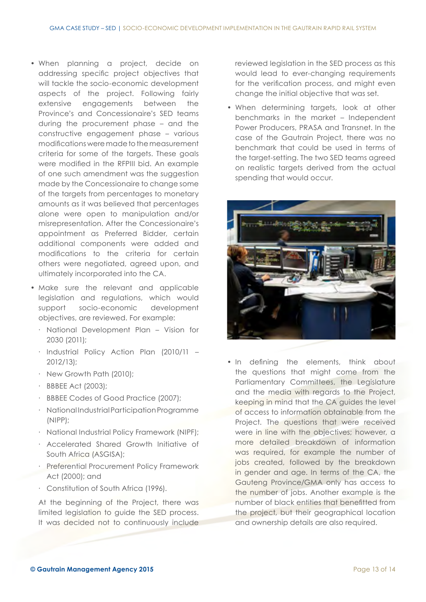- When planning a project, decide on addressing specific project objectives that will tackle the socio-economic development aspects of the project. Following fairly extensive engagements between the Province's and Concessionaire's SED teams during the procurement phase – and the constructive engagement phase – various modifications were made to the measurement criteria for some of the targets. These goals were modified in the RFPIII bid. An example of one such amendment was the suggestion made by the Concessionaire to change some of the targets from percentages to monetary amounts as it was believed that percentages alone were open to manipulation and/or misrepresentation. After the Concessionaire's appointment as Preferred Bidder, certain additional components were added and modifications to the criteria for certain others were negotiated, agreed upon, and ultimately incorporated into the CA.
- Make sure the relevant and applicable legislation and regulations, which would support socio-economic development objectives, are reviewed. For example:
	- ∙ National Development Plan Vision for 2030 (2011);
	- ∙ Industrial Policy Action Plan (2010/11 2012/13);
	- ∙ New Growth Path (2010);
	- ∙ BBBEE Act (2003);
	- ∙ BBBEE Codes of Good Practice (2007);
	- ∙ National Industrial Participation Programme (NIPP);
	- ∙ National Industrial Policy Framework (NIPF);
	- ∙ Accelerated Shared Growth Initiative of South Africa (ASGISA);
	- ∙ Preferential Procurement Policy Framework Act (2000); and
	- ∙ Constitution of South Africa (1996).

At the beginning of the Project, there was limited legislation to guide the SED process. It was decided not to continuously include reviewed legislation in the SED process as this would lead to ever-changing requirements for the verification process, and might even change the initial objective that was set.

• When determining targets, look at other benchmarks in the market – Independent Power Producers, PRASA and Transnet. In the case of the Gautrain Project, there was no benchmark that could be used in terms of the target-setting. The two SED teams agreed on realistic targets derived from the actual spending that would occur.



• In defining the elements, think about the questions that might come from the Parliamentary Committees, the Legislature and the media with regards to the Project, keeping in mind that the CA guides the level of access to information obtainable from the Project. The questions that were received were in line with the objectives; however, a more detailed breakdown of information was required, for example the number of jobs created, followed by the breakdown in gender and age. In terms of the CA, the Gauteng Province/GMA only has access to the number of jobs. Another example is the number of black entities that benefitted from the project, but their geographical location and ownership details are also required.